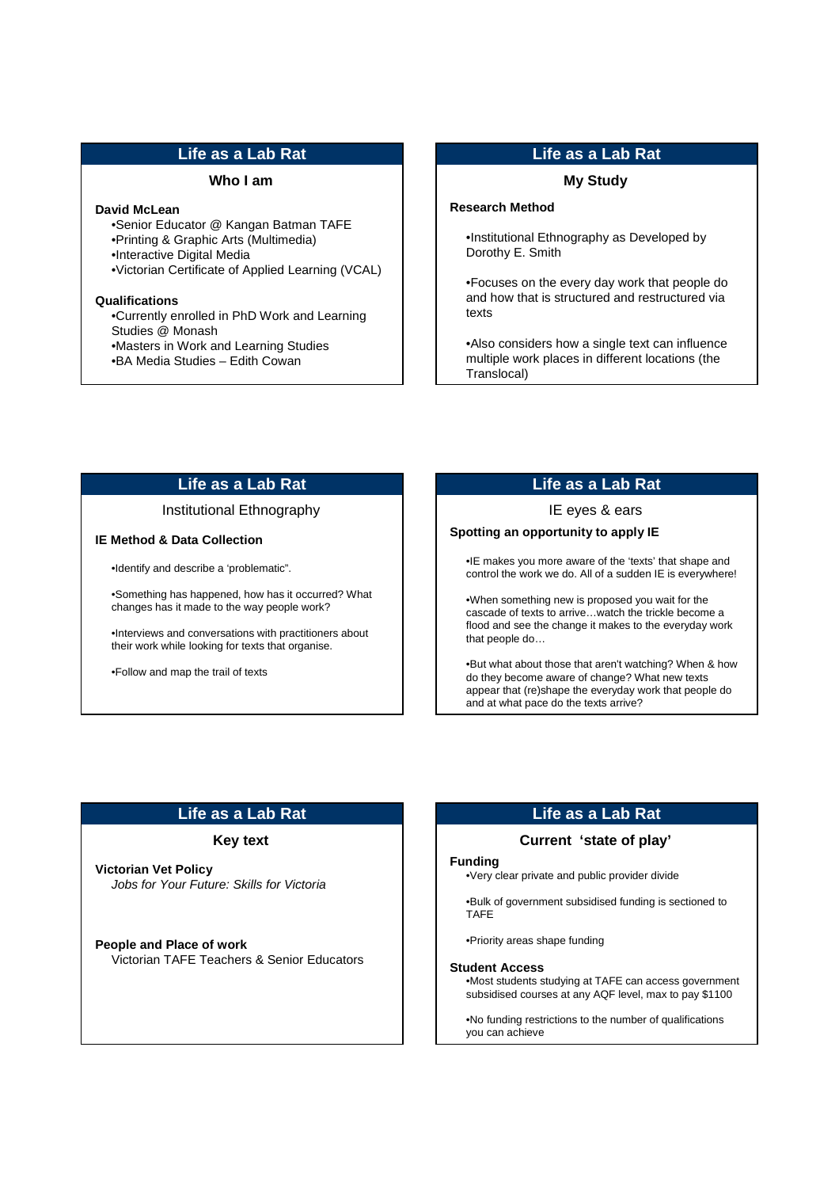## **Life as a Lab Rat**

### **Who I am**

# **David McLean**

•Senior Educator @ Kangan Batman TAFE

- •Printing & Graphic Arts (Multimedia)
- •Interactive Digital Media
- •Victorian Certificate of Applied Learning (VCAL)

#### **Qualifications**

•Currently enrolled in PhD Work and Learning Studies @ Monash •Masters in Work and Learning Studies

•BA Media Studies – Edith Cowan

## **Life as a Lab Rat**

# **My Study**

### **Research Method**

•Institutional Ethnography as Developed by Dorothy E. Smith

•Focuses on the every day work that people do and how that is structured and restructured via texts

•Also considers how a single text can influence multiple work places in different locations (the Translocal)

# **Life as a Lab Rat**

### Institutional Ethnography

### **IE Method & Data Collection**

•Identify and describe a 'problematic".

•Something has happened, how has it occurred? What changes has it made to the way people work?

•Interviews and conversations with practitioners about their work while looking for texts that organise.

•Follow and map the trail of texts

# **Life as a Lab Rat**

### IE eyes & ears

# **Spotting an opportunity to apply IE**

•IE makes you more aware of the 'texts' that shape and control the work we do. All of a sudden IE is everywhere!

•When something new is proposed you wait for the cascade of texts to arrive…watch the trickle become a flood and see the change it makes to the everyday work that people do…

•But what about those that aren't watching? When & how do they become aware of change? What new texts appear that (re)shape the everyday work that people do and at what pace do the texts arrive?

# **Life as a Lab Rat**

### **Key text**

**Victorian Vet Policy** Jobs for Your Future: Skills for Victoria

**People and Place of work** Victorian TAFE Teachers & Senior Educators

# **Life as a Lab Rat**

## **Current 'state of play'**

#### **Funding**

•Very clear private and public provider divide

•Bulk of government subsidised funding is sectioned to TAFE

•Priority areas shape funding

#### **Student Access**

•Most students studying at TAFE can access government subsidised courses at any AQF level, max to pay \$1100

•No funding restrictions to the number of qualifications you can achieve